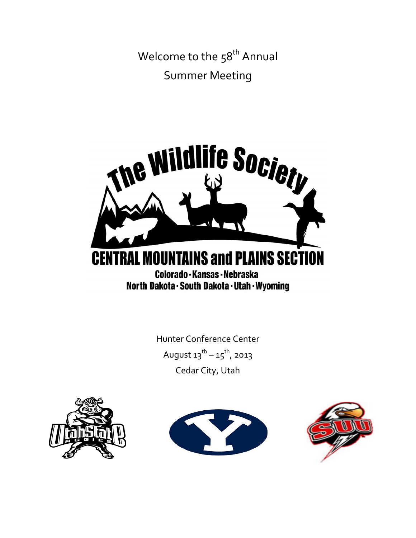Welcome to the 58<sup>th</sup> Annual Summer Meeting



Hunter Conference Center August  $13^{th} - 15^{th}$ , 2013 Cedar City, Utah





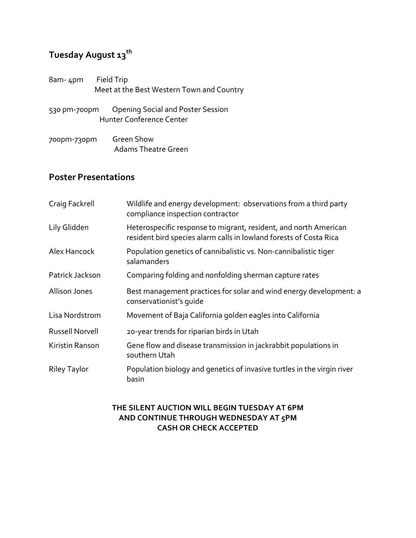## **Tuesday August 13th**

| 8am- 4pm     | Field Trip<br>Meet at the Best Western Town and Country              |  |
|--------------|----------------------------------------------------------------------|--|
| 530 pm-700pm | <b>Opening Social and Poster Session</b><br>Hunter Conference Center |  |
| 700pm-730pm  | Green Show<br>Adams Theatre Green                                    |  |

## **Poster Presentations**

| Craig Fackrell         | Wildlife and energy development: observations from a third party<br>compliance inspection contractor                                   |
|------------------------|----------------------------------------------------------------------------------------------------------------------------------------|
| Lily Glidden           | Heterospecific response to migrant, resident, and north American<br>resident bird species alarm calls in lowland forests of Costa Rica |
| Alex Hancock           | Population genetics of cannibalistic vs. Non-cannibalistic tiger<br>salamanders                                                        |
| Patrick Jackson        | Comparing folding and nonfolding sherman capture rates                                                                                 |
| Allison Jones          | Best management practices for solar and wind energy development: a<br>conservationist's quide                                          |
| Lisa Nordstrom         | Movement of Baja California golden eagles into California                                                                              |
| <b>Russell Norvell</b> | 20-year trends for riparian birds in Utah                                                                                              |
| Kiristin Ranson        | Gene flow and disease transmission in jackrabbit populations in<br>southern Utah                                                       |
| Riley Taylor           | Population biology and genetics of invasive turtles in the virgin river<br>basin                                                       |

## **THE SILENT AUCTION WILL BEGIN TUESDAY AT 6PM AND CONTINUE THROUGH WEDNESDAY AT 5PM CASH OR CHECK ACCEPTED**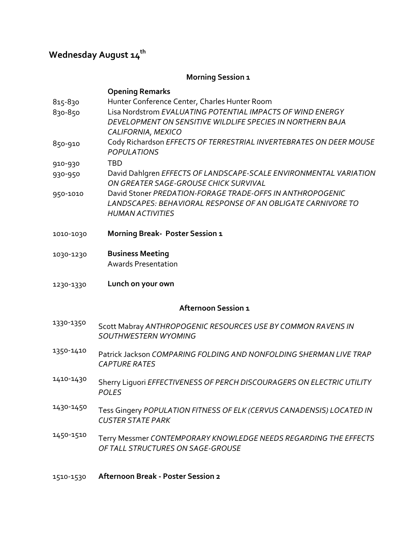# **Wednesday** August  $\mathbf{14}^{\text{th}}$

## **Morning Session 1**

| 815-830<br>830-850         | <b>Opening Remarks</b><br>Hunter Conference Center, Charles Hunter Room<br>Lisa Nordstrom EVALUATING POTENTIAL IMPACTS OF WIND ENERGY<br>DEVELOPMENT ON SENSITIVE WILDLIFE SPECIES IN NORTHERN BAJA<br>CALIFORNIA, MEXICO |  |
|----------------------------|---------------------------------------------------------------------------------------------------------------------------------------------------------------------------------------------------------------------------|--|
| 850-910                    | Cody Richardson EFFECTS OF TERRESTRIAL INVERTEBRATES ON DEER MOUSE<br><b>POPULATIONS</b>                                                                                                                                  |  |
| 910-930                    | <b>TBD</b>                                                                                                                                                                                                                |  |
| 930-950                    | David Dahlgren EFFECTS OF LANDSCAPE-SCALE ENVIRONMENTAL VARIATION<br>ON GREATER SAGE-GROUSE CHICK SURVIVAL                                                                                                                |  |
| 950-1010                   | David Stoner PREDATION-FORAGE TRADE-OFFS IN ANTHROPOGENIC<br><b>LANDSCAPES: BEHAVIORAL RESPONSE OF AN OBLIGATE CARNIVORE TO</b><br><b>HUMAN ACTIVITIES</b>                                                                |  |
| 1010-1030                  | <b>Morning Break- Poster Session 1</b>                                                                                                                                                                                    |  |
| 1030-1230                  | <b>Business Meeting</b><br><b>Awards Presentation</b>                                                                                                                                                                     |  |
| 1230-1330                  | Lunch on your own                                                                                                                                                                                                         |  |
| <b>Afternoon Session 1</b> |                                                                                                                                                                                                                           |  |
| 1330-1350                  | Scott Mabray ANTHROPOGENIC RESOURCES USE BY COMMON RAVENS IN<br><b>SOUTHWESTERN WYOMING</b>                                                                                                                               |  |
| 1350-1410                  | Patrick Jackson COMPARING FOLDING AND NONFOLDING SHERMAN LIVE TRAP<br><b>CAPTURE RATES</b>                                                                                                                                |  |
| 1410-1430                  | Sherry Liquori EFFECTIVENESS OF PERCH DISCOURAGERS ON ELECTRIC UTILITY<br><b>POLES</b>                                                                                                                                    |  |
| 1430-1450                  | Tess Gingery POPULATION FITNESS OF ELK (CERVUS CANADENSIS) LOCATED IN<br><b>CUSTER STATE PARK</b>                                                                                                                         |  |
| 1450-1510                  | Terry Messmer CONTEMPORARY KNOWLEDGE NEEDS REGARDING THE EFFECTS<br>OF TALL STRUCTURES ON SAGE-GROUSE                                                                                                                     |  |

## 1510‐1530 **Afternoon Break ‐ Poster Session 2**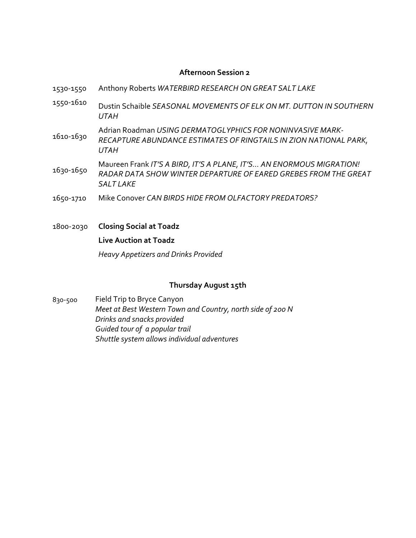## **Afternoon Session 2**

| 1530-1550 | Anthony Roberts WATERBIRD RESEARCH ON GREAT SALT LAKE                                                                                                       |
|-----------|-------------------------------------------------------------------------------------------------------------------------------------------------------------|
| 1550-1610 | Dustin Schaible SEASONAL MOVEMENTS OF ELK ON MT. DUTTON IN SOUTHERN<br><b>UTAH</b>                                                                          |
| 1610-1630 | Adrian Roadman USING DERMATOGLYPHICS FOR NONINVASIVE MARK-<br>RECAPTURE ABUNDANCE ESTIMATES OF RINGTAILS IN ZION NATIONAL PARK,<br><b>UTAH</b>              |
| 1630-1650 | Maureen Frank IT'S A BIRD, IT'S A PLANE, IT'S AN ENORMOUS MIGRATION!<br>RADAR DATA SHOW WINTER DEPARTURE OF EARED GREBES FROM THE GREAT<br><b>SALT LAKE</b> |
| 1650-1710 | Mike Conover CAN BIRDS HIDE FROM OLFACTORY PREDATORS?                                                                                                       |

1800‐2030 **Closing Social at Toadz Live Auction at Toadz** *Heavy Appetizers and Drinks Provided*

## **Thursday August 15th**

830‐500 Field Trip to Bryce Canyon *Meet at Best Western Town and Country, north side of 200 N Drinks and snacks provided Guided tour of a popular trail Shuttle system allows individual adventures*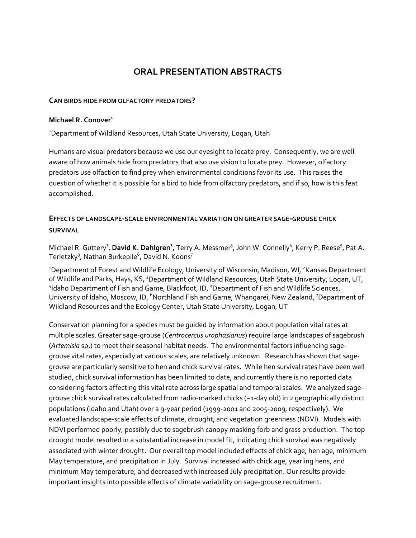## **ORAL PRESENTATION ABSTRACTS**

### **CAN BIRDS HIDE FROM OLFACTORY PREDATORS?**

### **Michael R. Conover1**

<sup>1</sup>Department of Wildland Resources, Utah State University, Logan, Utah

Humans are visual predators because we use our eyesight to locate prey. Consequently, we are well aware of how animals hide from predators that also use vision to locate prey. However, olfactory predators use olfaction to find prey when environmental conditions favor its use. This raises the question of whether it is possible for a bird to hide from olfactory predators, and if so, how is this feat accomplished.

## **EFFECTS OF LANDSCAPE‐SCALE ENVIRONMENTAL VARIATION ON GREATER SAGE‐GROUSE CHICK SURVIVAL**

Michael R. Guttery<sup>1</sup>, David K. Dahlgren<sup>2</sup>, Terry A. Messmer<sup>3</sup>, John W. Connelly<sup>4</sup>, Kerry P. Reese<sup>5</sup>, Pat A. Terletzky $^3$ , Nathan Burkepile $^6$ , David N. Koons $^7$ 

<sup>1</sup>Department of Forest and Wildlife Ecology, University of Wisconsin, Madison, WI, <sup>2</sup>Kansas Department of Wildlife and Parks, Hays, KS, <sup>3</sup>Department of Wildland Resources, Utah State University, Logan, UT, <sup>4</sup>Idaho Department of Fish and Game, Blackfoot, ID, <sup>5</sup>Department of Fish and Wildlife Sciences, University of Idaho, Moscow, ID, <sup>6</sup>Northland Fish and Game, Whangarei, New Zealand, <sup>7</sup>Department of Wildland Resources and the Ecology Center, Utah State University, Logan, UT

Conservation planning for a species must be guided by information about population vital rates at multiple scales. Greater sage‐grouse (*Centrocercus urophasianus*) require large landscapes of sagebrush (*Artemisia* sp.) to meet their seasonal habitat needs. The environmental factors influencing sage‐ grouse vital rates, especially at various scales, are relatively unknown. Research has shown that sage‐ grouse are particularly sensitive to hen and chick survival rates. While hen survival rates have been well studied, chick survival information has been limited to date, and currently there is no reported data considering factors affecting this vital rate across large spatial and temporal scales. We analyzed sage‐ grouse chick survival rates calculated from radio‐marked chicks (~1‐day old) in 2 geographically distinct populations (Idaho and Utah) over a 9‐year period (1999‐2001 and 2005‐2009, respectively). We evaluated landscape‐scale effects of climate, drought, and vegetation greenness (NDVI). Models with NDVI performed poorly, possibly due to sagebrush canopy masking forb and grass production. The top drought model resulted in a substantial increase in model fit, indicating chick survival was negatively associated with winter drought. Our overall top model included effects of chick age, hen age, minimum May temperature, and precipitation in July. Survival increased with chick age, yearling hens, and minimum May temperature, and decreased with increased July precipitation. Our results provide important insights into possible effects of climate variability on sage‐grouse recruitment.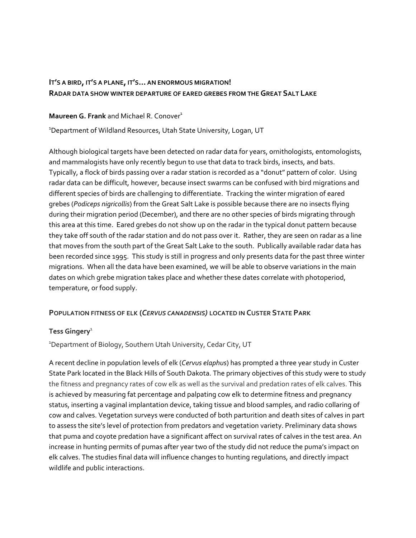## **IT'S A BIRD, IT'S A PLANE, IT'S… AN ENORMOUS MIGRATION! RADAR DATA SHOW WINTER DEPARTURE OF EARED GREBES FROM THEGREAT SALT LAKE**

## **Maureen G. Frank** and Michael R. Conover<sup>1</sup>

<sup>1</sup>Department of Wildland Resources, Utah State University, Logan, UT

Although biological targets have been detected on radar data for years, ornithologists, entomologists, and mammalogists have only recently begun to use that data to track birds, insects, and bats. Typically, a flock of birds passing over a radar station is recorded as a "donut" pattern of color. Using radar data can be difficult, however, because insect swarms can be confused with bird migrations and different species of birds are challenging to differentiate. Tracking the winter migration of eared grebes (*Podiceps nigricollis*) from the Great Salt Lake is possible because there are no insects flying during their migration period (December), and there are no other species of birds migrating through this area at this time. Eared grebes do not show up on the radar in the typical donut pattern because they take off south of the radar station and do not pass over it. Rather, they are seen on radar as a line that moves from the south part of the Great Salt Lake to the south. Publically available radar data has been recorded since 1995. This study is still in progress and only presents data for the past three winter migrations. When all the data have been examined, we will be able to observe variations in the main dates on which grebe migration takes place and whether these dates correlate with photoperiod, temperature, or food supply.

## **POPULATION FITNESS OF ELK (***CERVUS CANADENSIS)* **LOCATED IN CUSTER STATE PARK**

## **Tess Gingery**<sup>1</sup>

<sup>1</sup>Department of Biology, Southern Utah University, Cedar City, UT

A recent decline in population levels of elk (*Cervus elaphus*) has prompted a three year study in Custer State Park located in the Black Hills of South Dakota. The primary objectives of this study were to study the fitness and pregnancy rates of cow elk as well as the survival and predation rates of elk calves. This is achieved by measuring fat percentage and palpating cow elk to determine fitness and pregnancy status, inserting a vaginal implantation device, taking tissue and blood samples, and radio collaring of cow and calves. Vegetation surveys were conducted of both parturition and death sites of calves in part to assess the site's level of protection from predators and vegetation variety. Preliminary data shows that puma and coyote predation have a significant affect on survival rates of calves in the test area. An increase in hunting permits of pumas after year two of the study did not reduce the puma's impact on elk calves. The studies final data will influence changes to hunting regulations, and directly impact wildlife and public interactions.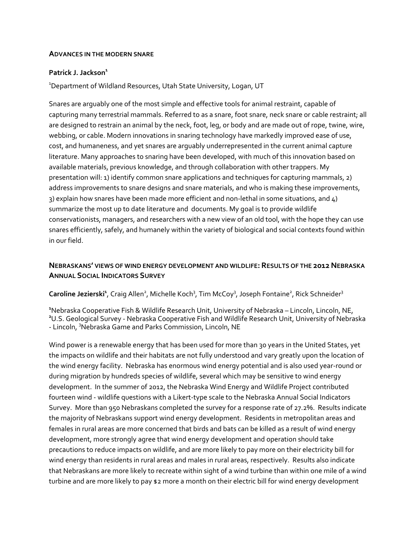#### **ADVANCES IN THE MODERN SNARE**

#### **Patrick J. Jackson<sup>1</sup>**

<sup>1</sup>Department of Wildland Resources, Utah State University, Logan, UT

Snares are arguably one of the most simple and effective tools for animal restraint, capable of capturing many terrestrial mammals. Referred to as a snare, foot snare, neck snare or cable restraint; all are designed to restrain an animal by the neck, foot, leg, or body and are made out of rope, twine, wire, webbing, or cable. Modern innovations in snaring technology have markedly improved ease of use, cost, and humaneness, and yet snares are arguably underrepresented in the current animal capture literature. Many approaches to snaring have been developed, with much of this innovation based on available materials, previous knowledge, and through collaboration with other trappers. My presentation will: 1) identify common snare applications and techniques for capturing mammals, 2) address improvements to snare designs and snare materials, and who is making these improvements, 3) explain how snares have been made more efficient and non-lethal in some situations, and 4) summarize the most up to date literature and documents. My goal is to provide wildlife conservationists, managers, and researchers with a new view of an old tool, with the hope they can use snares efficiently, safely, and humanely within the variety of biological and social contexts found within in our field.

## **NEBRASKANS' VIEWS OF WIND ENERGY DEVELOPMENT AND WILDLIFE: RESULTS OF THE 2012 NEBRASKA ANNUAL SOCIAL INDICATORS SURVEY**

### Caroline Jezierski<sup>1</sup>, Craig Allen<sup>2</sup>, Michelle Koch<sup>3</sup>, Tim McCoy<sup>3</sup>, Joseph Fontaine<sup>2</sup>, Rick Schneider<sup>3</sup>

**1** Nebraska Cooperative Fish & Wildlife Research Unit, University of Nebraska – Lincoln, Lincoln, NE, **<sup>2</sup>** <sup>2</sup>U.S. Geological Survey - Nebraska Cooperative Fish and Wildlife Research Unit, University of Nebraska - Lincoln, <sup>3</sup>Nebraska Game and Parks Commission, Lincoln, NE

Wind power is a renewable energy that has been used for more than 30 years in the United States, yet the impacts on wildlife and their habitats are not fully understood and vary greatly upon the location of the wind energy facility. Nebraska has enormous wind energy potential and is also used year‐round or during migration by hundreds species of wildlife, several which may be sensitive to wind energy development. In the summer of 2012, the Nebraska Wind Energy and Wildlife Project contributed fourteen wind - wildlife questions with a Likert-type scale to the Nebraska Annual Social Indicators Survey. More than 950 Nebraskans completed the survey for a response rate of 27.2%. Results indicate the majority of Nebraskans support wind energy development. Residents in metropolitan areas and females in rural areas are more concerned that birds and bats can be killed as a result of wind energy development, more strongly agree that wind energy development and operation should take precautions to reduce impacts on wildlife, and are more likely to pay more on their electricity bill for wind energy than residents in rural areas and males in rural areas, respectively. Results also indicate that Nebraskans are more likely to recreate within sight of a wind turbine than within one mile of a wind turbine and are more likely to pay \$2 more a month on their electric bill for wind energy development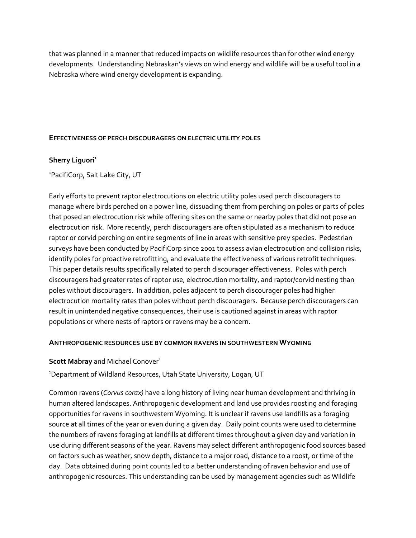that was planned in a manner that reduced impacts on wildlife resources than for other wind energy developments. Understanding Nebraskan's views on wind energy and wildlife will be a useful tool in a Nebraska where wind energy development is expanding.

### **EFFECTIVENESS OF PERCH DISCOURAGERS ON ELECTRIC UTILITY POLES**

## **Sherry Liguori<sup>1</sup>**

<sup>1</sup>PacifiCorp, Salt Lake City, UT

Early efforts to prevent raptor electrocutions on electric utility poles used perch discouragers to manage where birds perched on a power line, dissuading them from perching on poles or parts of poles that posed an electrocution risk while offering sites on the same or nearby poles that did not pose an electrocution risk. More recently, perch discouragers are often stipulated as a mechanism to reduce raptor or corvid perching on entire segments of line in areas with sensitive prey species. Pedestrian surveys have been conducted by PacifiCorp since 2001 to assess avian electrocution and collision risks, identify poles for proactive retrofitting, and evaluate the effectiveness of various retrofit techniques. This paper details results specifically related to perch discourager effectiveness. Poles with perch discouragers had greater rates of raptor use, electrocution mortality, and raptor/corvid nesting than poles without discouragers. In addition, poles adjacent to perch discourager poles had higher electrocution mortality rates than poles without perch discouragers. Because perch discouragers can result in unintended negative consequences, their use is cautioned against in areas with raptor populations or where nests of raptors or ravens may be a concern.

#### **ANTHROPOGENIC RESOURCES USE BY COMMON RAVENS IN SOUTHWESTERN WYOMING**

**Scott Mabray** and Michael Conover<sup>1</sup>

<sup>1</sup>Department of Wildland Resources, Utah State University, Logan, UT

Common ravens (*Corvus corax)* have a long history of living near human development and thriving in human altered landscapes. Anthropogenic development and land use provides roosting and foraging opportunities for ravens in southwestern Wyoming. It is unclear if ravens use landfills as a foraging source at all times of the year or even during a given day. Daily point counts were used to determine the numbers of ravens foraging at landfills at different times throughout a given day and variation in use during different seasons of the year. Ravens may select different anthropogenic food sources based on factors such as weather, snow depth, distance to a major road, distance to a roost, or time of the day. Data obtained during point counts led to a better understanding of raven behavior and use of anthropogenic resources. This understanding can be used by management agencies such as Wildlife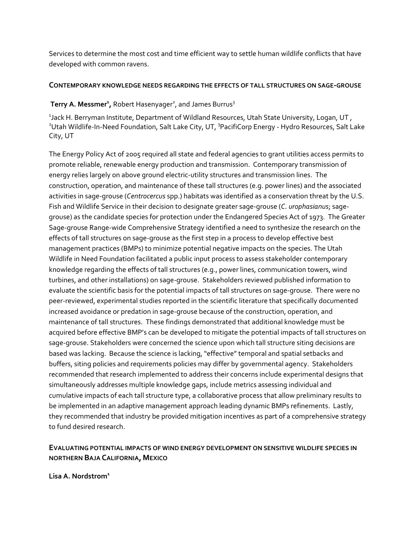Services to determine the most cost and time efficient way to settle human wildlife conflicts that have developed with common ravens.

## **CONTEMPORARY KNOWLEDGE NEEDS REGARDING THE EFFECTS OF TALL STRUCTURES ON SAGE‐GROUSE**

## **Terry A. Messmer<sup>1</sup>, Robert Hasenyager<sup>2</sup>, and James Burrus<sup>3</sup>**

 $^{\text{\tiny{1}}}$ Jack H. Berryman Institute, Department of Wildland Resources, Utah State University, Logan, UT , <sup>2</sup>Utah Wildlife-In-Need Foundation, Salt Lake City, UT, <sup>3</sup>PacifiCorp Energy - Hydro Resources, Salt Lake City, UT

The Energy Policy Act of 2005 required all state and federal agencies to grant utilities access permits to promote reliable, renewable energy production and transmission. Contemporary transmission of energy relies largely on above ground electric-utility structures and transmission lines. The construction, operation, and maintenance of these tall structures (e.g. power lines) and the associated activities in sage‐grouse (*Centrocercus* spp.) habitats was identified as a conservation threat by the U.S. Fish and Wildlife Service in their decision to designate greater sage‐grouse (*C. urophasianus*; sage‐ grouse) as the candidate species for protection under the Endangered Species Act of 1973. The Greater Sage‐grouse Range‐wide Comprehensive Strategy identified a need to synthesize the research on the effects of tall structures on sage‐grouse as the first step in a process to develop effective best management practices (BMPs) to minimize potential negative impacts on the species. The Utah Wildlife in Need Foundation facilitated a public input process to assess stakeholder contemporary knowledge regarding the effects of tall structures (e.g., power lines, communication towers, wind turbines, and other installations) on sage‐grouse. Stakeholders reviewed published information to evaluate the scientific basis for the potential impacts of tall structures on sage‐grouse. There were no peer-reviewed, experimental studies reported in the scientific literature that specifically documented increased avoidance or predation in sage‐grouse because of the construction, operation, and maintenance of tall structures. These findings demonstrated that additional knowledge must be acquired before effective BMP's can be developed to mitigate the potential impacts of tall structures on sage-grouse. Stakeholders were concerned the science upon which tall structure siting decisions are based was lacking. Because the science is lacking, "effective" temporal and spatial setbacks and buffers, siting policies and requirements policies may differ by governmental agency. Stakeholders recommended that research implemented to address their concerns include experimental designs that simultaneously addresses multiple knowledge gaps, include metrics assessing individual and cumulative impacts of each tall structure type, a collaborative process that allow preliminary results to be implemented in an adaptive management approach leading dynamic BMPs refinements. Lastly, they recommended that industry be provided mitigation incentives as part of a comprehensive strategy to fund desired research.

## **EVALUATING POTENTIAL IMPACTS OF WIND ENERGY DEVELOPMENT ON SENSITIVE WILDLIFE SPECIES IN NORTHERN BAJA CALIFORNIA, MEXICO**

**Lisa A. Nordstrom<sup>1</sup>**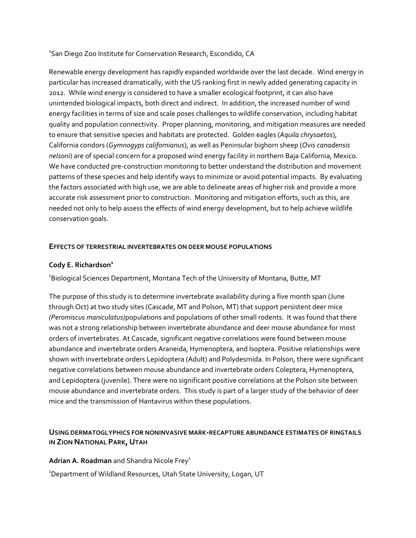1 San Diego Zoo Institute for Conservation Research, Escondido, CA

Renewable energy development has rapidly expanded worldwide over the last decade. Wind energy in particular has increased dramatically, with the US ranking first in newly added generating capacity in 2012. While wind energy is considered to have a smaller ecological footprint, it can also have unintended biological impacts, both direct and indirect. In addition, the increased number of wind energy facilities in terms of size and scale poses challenges to wildlife conservation, including habitat quality and population connectivity. Proper planning, monitoring, and mitigation measures are needed to ensure that sensitive species and habitats are protected. Golden eagles (*Aquila chrysaetos*), California condors (*Gymnogyps californianus*), as well as Peninsular bighorn sheep (*Ovis canadensis nelsoni*) are of special concern for a proposed wind energy facility in northern Baja California, Mexico. We have conducted pre-construction monitoring to better understand the distribution and movement patterns of these species and help identify ways to minimize or avoid potential impacts. By evaluating the factors associated with high use, we are able to delineate areas of higher risk and provide a more accurate risk assessment prior to construction. Monitoring and mitigation efforts, such as this, are needed not only to help assess the effects of wind energy development, but to help achieve wildlife conservation goals.

## **EFFECTS OF TERRESTRIAL INVERTEBRATES ON DEER MOUSE POPULATIONS**

## **Cody E. Richardson<sup>1</sup>**

<sup>1</sup>Biological Sciences Department, Montana Tech of the University of Montana, Butte, MT

The purpose of this study is to determine invertebrate availability during a five month span (June through Oct) at two study sites (Cascade, MT and Polson, MT) that support persistent deer mice *(Peromiscus maniculatus)*populations and populations of other small rodents. It was found that there was not a strong relationship between invertebrate abundance and deer mouse abundance for most orders of invertebrates. At Cascade, significant negative correlations were found between mouse abundance and invertebrate orders Araneida, Hymenoptera, and Isoptera. Positive relationships were shown with invertebrate orders Lepidoptera (Adult) and Polydesmida. In Polson, there were significant negative correlations between mouse abundance and invertebrate orders Coleptera, Hymenoptera, and Lepidoptera (juvenile). There were no significant positive correlations at the Polson site between mouse abundance and invertebrate orders. This study is part of a larger study of the behavior of deer mice and the transmission of Hantavirus within these populations.

## **USING DERMATOGLYPHICS FOR NONINVASIVE MARK‐RECAPTURE ABUNDANCE ESTIMATES OF RINGTAILS IN ZION NATIONAL PARK, UTAH**

**Adrian A. Roadman** and Shandra Nicole Frey<sup>1</sup>

<sup>1</sup>Department of Wildland Resources, Utah State University, Logan, UT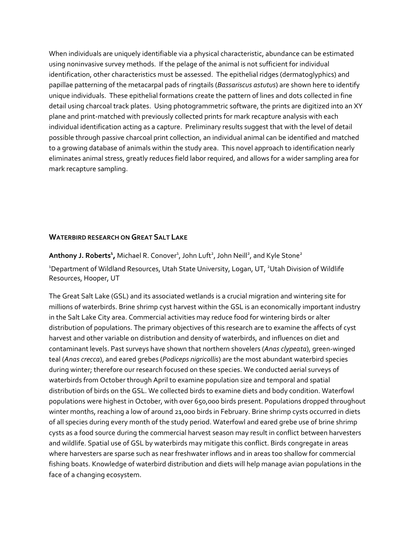When individuals are uniquely identifiable via a physical characteristic, abundance can be estimated using noninvasive survey methods. If the pelage of the animal is not sufficient for individual identification, other characteristics must be assessed. The epithelial ridges (dermatoglyphics) and papillae patterning of the metacarpal pads of ringtails (*Bassariscus astutus*) are shown here to identify unique individuals. These epithelial formations create the pattern of lines and dots collected in fine detail using charcoal track plates. Using photogrammetric software, the prints are digitized into an XY plane and print‐matched with previously collected prints for mark recapture analysis with each individual identification acting as a capture. Preliminary results suggest that with the level of detail possible through passive charcoal print collection, an individual animal can be identified and matched to a growing database of animals within the study area. This novel approach to identification nearly eliminates animal stress, greatly reduces field labor required, and allows for a wider sampling area for mark recapture sampling.

## **WATERBIRD RESEARCH ON GREAT SALT LAKE**

**Anthony J. Roberts<sup>1</sup>,** Michael R. Conover<sup>1</sup>, John Luft<sup>2</sup>, John Neill<sup>2</sup>, and Kyle Stone<sup>2</sup> <sup>1</sup>Department of Wildland Resources, Utah State University, Logan, UT, <sup>2</sup>Utah Division of Wildlife

Resources, Hooper, UT

The Great Salt Lake (GSL) and its associated wetlands is a crucial migration and wintering site for millions of waterbirds. Brine shrimp cyst harvest within the GSL is an economically important industry in the Salt Lake City area. Commercial activities may reduce food for wintering birds or alter distribution of populations. The primary objectives of this research are to examine the affects of cyst harvest and other variable on distribution and density of waterbirds, and influences on diet and contaminant levels. Past surveys have shown that northern shovelers (*Anas clypeata*), green‐winged teal (*Anas crecca*), and eared grebes (*Podiceps nigricollis*) are the most abundant waterbird species during winter; therefore our research focused on these species. We conducted aerial surveys of waterbirds from October through April to examine population size and temporal and spatial distribution of birds on the GSL. We collected birds to examine diets and body condition. Waterfowl populations were highest in October, with over 650,000 birds present. Populations dropped throughout winter months, reaching a low of around 21,000 birds in February. Brine shrimp cysts occurred in diets of all species during every month of the study period. Waterfowl and eared grebe use of brine shrimp cysts as a food source during the commercial harvest season may result in conflict between harvesters and wildlife. Spatial use of GSL by waterbirds may mitigate this conflict. Birds congregate in areas where harvesters are sparse such as near freshwater inflows and in areas too shallow for commercial fishing boats. Knowledge of waterbird distribution and diets will help manage avian populations in the face of a changing ecosystem.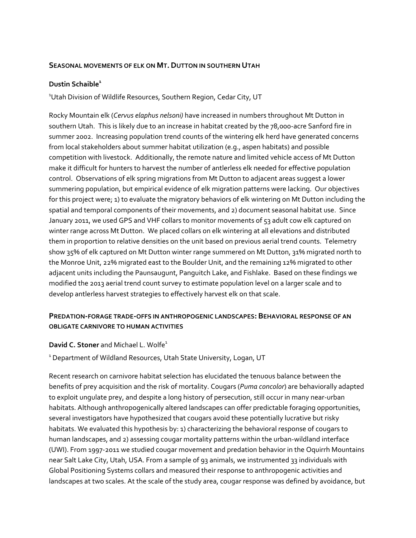### **SEASONAL MOVEMENTS OF ELK ON MT.DUTTON IN SOUTHERN UTAH**

#### **Dustin Schaible<sup>1</sup>**

<sup>1</sup>Utah Division of Wildlife Resources, Southern Region, Cedar City, UT

Rocky Mountain elk (*Cervus elaphus nelsoni)* have increased in numbers throughout Mt Dutton in southern Utah. This is likely due to an increase in habitat created by the 78,000‐acre Sanford fire in summer 2002. Increasing population trend counts of the wintering elk herd have generated concerns from local stakeholders about summer habitat utilization (e.g., aspen habitats) and possible competition with livestock. Additionally, the remote nature and limited vehicle access of Mt Dutton make it difficult for hunters to harvest the number of antlerless elk needed for effective population control. Observations of elk spring migrations from Mt Dutton to adjacent areas suggest a lower summering population, but empirical evidence of elk migration patterns were lacking. Our objectives for this project were; 1) to evaluate the migratory behaviors of elk wintering on Mt Dutton including the spatial and temporal components of their movements, and 2) document seasonal habitat use. Since January 2011, we used GPS and VHF collars to monitor movements of 53 adult cow elk captured on winter range across Mt Dutton. We placed collars on elk wintering at all elevations and distributed them in proportion to relative densities on the unit based on previous aerial trend counts. Telemetry show 35% of elk captured on Mt Dutton winter range summered on Mt Dutton, 31% migrated north to the Monroe Unit, 22% migrated east to the Boulder Unit, and the remaining 12% migrated to other adjacent units including the Paunsaugunt, Panguitch Lake, and Fishlake. Based on these findings we modified the 2013 aerial trend count survey to estimate population level on a larger scale and to develop antlerless harvest strategies to effectively harvest elk on that scale.

## **PREDATION‐FORAGE TRADE‐OFFS IN ANTHROPOGENIC LANDSCAPES: BEHAVIORAL RESPONSE OF AN OBLIGATE CARNIVORE TO HUMAN ACTIVITIES**

#### **David C. Stoner** and Michael L. Wolfe<sup>1</sup>

<sup>1</sup> Department of Wildland Resources, Utah State University, Logan, UT

Recent research on carnivore habitat selection has elucidated the tenuous balance between the benefits of prey acquisition and the risk of mortality. Cougars (*Puma concolor*) are behaviorally adapted to exploit ungulate prey, and despite a long history of persecution, still occur in many near‐urban habitats. Although anthropogenically altered landscapes can offer predictable foraging opportunities, several investigators have hypothesized that cougars avoid these potentially lucrative but risky habitats. We evaluated this hypothesis by: 1) characterizing the behavioral response of cougars to human landscapes, and 2) assessing cougar mortality patterns within the urban-wildland interface (UWI). From 1997‐2011 we studied cougar movement and predation behavior in the Oquirrh Mountains near Salt Lake City, Utah, USA. From a sample of 93 animals, we instrumented 33 individuals with Global Positioning Systems collars and measured their response to anthropogenic activities and landscapes at two scales. At the scale of the study area, cougar response was defined by avoidance, but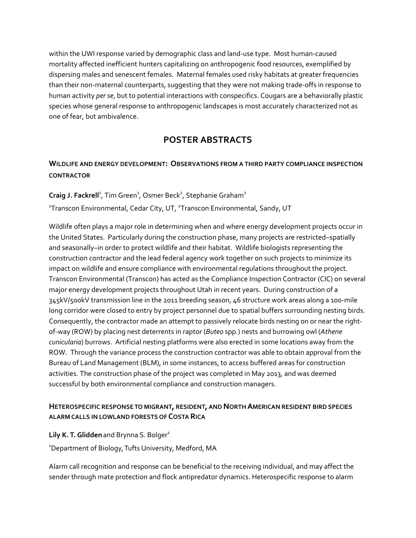within the UWI response varied by demographic class and land‐use type. Most human‐caused mortality affected inefficient hunters capitalizing on anthropogenic food resources, exemplified by dispersing males and senescent females. Maternal females used risky habitats at greater frequencies than their non‐maternal counterparts, suggesting that they were not making trade‐offs in response to human activity *per se*, but to potential interactions with conspecifics. Cougars are a behaviorally plastic species whose general response to anthropogenic landscapes is most accurately characterized not as one of fear, but ambivalence.

## **POSTER ABSTRACTS**

## **WILDLIFE AND ENERGY DEVELOPMENT: OBSERVATIONS FROM A THIRD PARTY COMPLIANCE INSPECTION CONTRACTOR**

Craig J. Fackrell<sup>1</sup>, Tim Green<sup>1</sup>, Osmer Beck<sup>2</sup>, Stephanie Graham<sup>2</sup>

<sup>1</sup>Transcon Environmental, Cedar City, UT, <sup>2</sup>Transcon Environmental, Sandy, UT

Wildlife often plays a major role in determining when and where energy development projects occur in the United States. Particularly during the construction phase, many projects are restricted–spatially and seasonally–in order to protect wildlife and their habitat. Wildlife biologists representing the construction contractor and the lead federal agency work together on such projects to minimize its impact on wildlife and ensure compliance with environmental regulations throughout the project. Transcon Environmental (Transcon) has acted as the Compliance Inspection Contractor (CIC) on several major energy development projects throughout Utah in recent years. During construction of a 345kV/500kV transmission line in the 2011 breeding season, 46 structure work areas along a 100‐mile long corridor were closed to entry by project personnel due to spatial buffers surrounding nesting birds. Consequently, the contractor made an attempt to passively relocate birds nesting on or near the right‐ of‐way (ROW) by placing nest deterrents in raptor (*Buteo* spp*.*) nests and burrowing owl (*Athene cunicularia*) burrows. Artificial nesting platforms were also erected in some locations away from the ROW. Through the variance process the construction contractor was able to obtain approval from the Bureau of Land Management (BLM), in some instances, to access buffered areas for construction activities. The construction phase of the project was completed in May 2013, and was deemed successful by both environmental compliance and construction managers.

## **HETEROSPECIFIC RESPONSETO MIGRANT, RESIDENT, AND NORTHAMERICAN RESIDENT BIRD SPECIES ALARM CALLS IN LOWLAND FORESTS OFCOSTA RICA**

**Lily K. T. Glidden** and Brynna S. Bolger<sup>1</sup>

1 Department of Biology,Tufts University, Medford, MA

Alarm call recognition and response can be beneficial to the receiving individual, and may affect the sender through mate protection and flock antipredator dynamics. Heterospecific response to alarm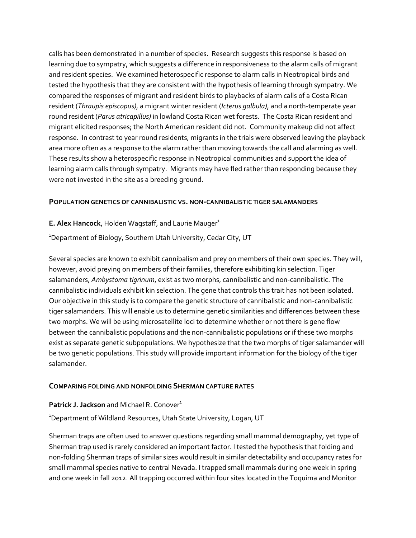calls has been demonstrated in a number of species. Research suggests this response is based on learning due to sympatry, which suggests a difference in responsiveness to the alarm calls of migrant and resident species. We examined heterospecific response to alarm calls in Neotropical birds and tested the hypothesis that they are consistent with the hypothesis of learning through sympatry. We compared the responses of migrant and resident birds to playbacks of alarm calls of a Costa Rican resident (*Thraupis episcopus)*, a migrant winter resident (*Icterus galbula)*, and a north‐temperate year round resident (*Parus atricapillus)* in lowland Costa Rican wet forests. The Costa Rican resident and migrant elicited responses; the North American resident did not. Community makeup did not affect response. In contrast to year round residents, migrants in the trials were observed leaving the playback area more often as a response to the alarm rather than moving towards the call and alarming as well. These results show a heterospecific response in Neotropical communities and support the idea of learning alarm calls through sympatry. Migrants may have fled rather than responding because they were not invested in the site as a breeding ground.

### **POPULATION GENETICS OF CANNIBALISTIC VS. NON‐CANNIBALISTIC TIGER SALAMANDERS**

### **E. Alex Hancock, Holden Wagstaff, and Laurie Mauger<sup>1</sup>**

<sup>1</sup>Department of Biology, Southern Utah University, Cedar City, UT

Several species are known to exhibit cannibalism and prey on members of their own species. They will, however, avoid preying on members of their families, therefore exhibiting kin selection. Tiger salamanders, *Ambystoma tigrinum*, exist as two morphs, cannibalistic and non‐cannibalistic. The cannibalistic individuals exhibit kin selection. The gene that controls this trait has not been isolated. Our objective in this study is to compare the genetic structure of cannibalistic and non‐cannibalistic tiger salamanders. This will enable us to determine genetic similarities and differences between these two morphs. We will be using microsatellite loci to determine whether or not there is gene flow between the cannibalistic populations and the non‐cannibalistic populations or if these two morphs exist as separate genetic subpopulations. We hypothesize that the two morphs of tiger salamander will be two genetic populations. This study will provide important information for the biology of the tiger salamander.

#### **COMPARING FOLDING AND NONFOLDING SHERMAN CAPTURE RATES**

#### **Patrick J. Jackson** and Michael R. Conover<sup>1</sup>

<sup>1</sup>Department of Wildland Resources, Utah State University, Logan, UT

Sherman traps are often used to answer questions regarding small mammal demography, yet type of Sherman trap used is rarely considered an important factor. I tested the hypothesis that folding and non‐folding Sherman traps of similar sizes would result in similar detectability and occupancy rates for small mammal species native to central Nevada. I trapped small mammals during one week in spring and one week in fall 2012. All trapping occurred within four sites located in the Toquima and Monitor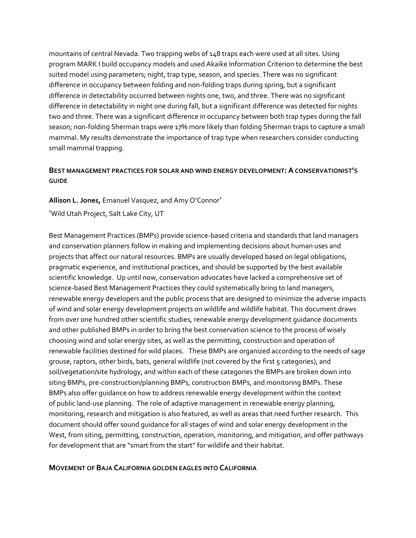mountains of central Nevada. Two trapping webs of 148 traps each were used at all sites. Using program MARK I build occupancy models and used Akaike Information Criterion to determine the best suited model using parameters; night, trap type, season, and species. There was no significant difference in occupancy between folding and non‐folding traps during spring, but a significant difference in detectability occurred between nights one, two, and three. There was no significant difference in detectability in night one during fall, but a significant difference was detected for nights two and three. There was a significant difference in occupancy between both trap types during the fall season; non-folding Sherman traps were 17% more likely than folding Sherman traps to capture a small mammal. My results demonstrate the importance of trap type when researchers consider conducting small mammal trapping.

## **BEST MANAGEMENT PRACTICES FOR SOLAR AND WIND ENERGY DEVELOPMENT: ACONSERVATIONIST'S GUIDE**

**Allison L. Jones, Emanuel Vasquez, and Amy O'Connor<sup>1</sup>** 1 Wild Utah Project, Salt Lake City, UT

Best Management Practices (BMPs) provide science‐based criteria and standards that land managers and conservation planners follow in making and implementing decisions about human uses and projects that affect our natural resources. BMPs are usually developed based on legal obligations, pragmatic experience, and institutional practices, and should be supported by the best available scientific knowledge. Up until now, conservation advocates have lacked a comprehensive set of science-based Best Management Practices they could systematically bring to land managers, renewable energy developers and the public process that are designed to minimize the adverse impacts of wind and solar energy development projects on wildlife and wildlife habitat. This document draws from over one hundred other scientific studies, renewable energy development guidance documents and other published BMPs in order to bring the best conservation science to the process of wisely choosing wind and solar energy sites, as well as the permitting, construction and operation of renewable facilities destined for wild places. These BMPs are organized according to the needs of sage grouse, raptors, other birds, bats, general wildlife (not covered by the first 5 categories), and soil/vegetation/site hydrology, and within each of these categories the BMPs are broken down into siting BMPs, pre-construction/planning BMPs, construction BMPs, and monitoring BMPs. These BMPs also offer guidance on how to address renewable energy development within the context of public land‐use planning. The role of adaptive management in renewable energy planning, monitoring, research and mitigation is also featured, as well as areas that need further research. This document should offer sound guidance for all stages of wind and solar energy development in the West, from siting, permitting, construction, operation, monitoring, and mitigation, and offer pathways for development that are "smart from the start" for wildlife and their habitat.

## **MOVEMENT OF BAJA CALIFORNIA GOLDEN EAGLES INTO CALIFORNIA**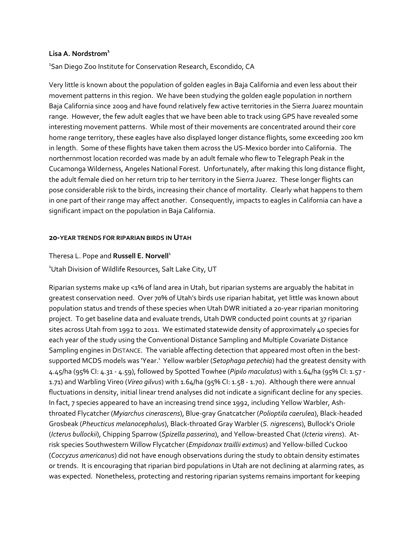#### **Lisa A. Nordstrom<sup>1</sup>**

1 San Diego Zoo Institute for Conservation Research, Escondido, CA

Very little is known about the population of golden eagles in Baja California and even less about their movement patterns in this region. We have been studying the golden eagle population in northern Baja California since 2009 and have found relatively few active territories in the Sierra Juarez mountain range. However, the few adult eagles that we have been able to track using GPS have revealed some interesting movement patterns. While most of their movements are concentrated around their core home range territory, these eagles have also displayed longer distance flights, some exceeding 200 km in length. Some of these flights have taken them across the US‐Mexico border into California. The northernmost location recorded was made by an adult female who flew to Telegraph Peak in the Cucamonga Wilderness, Angeles National Forest. Unfortunately, after making this long distance flight, the adult female died on her return trip to her territory in the Sierra Juarez. These longer flights can pose considerable risk to the birds, increasing their chance of mortality. Clearly what happens to them in one part of their range may affect another. Consequently, impacts to eagles in California can have a significant impact on the population in Baja California.

### **20‐YEAR TRENDS FOR RIPARIAN BIRDS IN UTAH**

### Theresa L. Pope and **Russell E. Norvell**<sup>1</sup>

<sup>1</sup>Utah Division of Wildlife Resources, Salt Lake City, UT

Riparian systems make up <1% of land area in Utah, but riparian systems are arguably the habitat in greatest conservation need. Over 70% of Utah's birds use riparian habitat, yet little was known about population status and trends of these species when Utah DWR initiated a 20‐year riparian monitoring project. To get baseline data and evaluate trends, Utah DWR conducted point counts at 37 riparian sites across Utah from 1992 to 2011. We estimated statewide density of approximately 40 species for each year of the study using the Conventional Distance Sampling and Multiple Covariate Distance Sampling engines in DISTANCE. The variable affecting detection that appeared most often in the best‐ supported MCDS models was 'Year.' Yellow warbler (*Setophaga petechia*) had the greatest density with 4.45/ha (95% CI: 4.31 ‐ 4.59), followed by Spotted Towhee (*Pipilo maculatus*) with 1.64/ha (95% CI: 1.57 ‐ 1.71) and Warbling Vireo (*Vireo gilvus*) with 1.64/ha (95% CI: 1.58 ‐ 1.70). Although there were annual fluctuations in density, initial linear trend analyses did not indicate a significant decline for any species. In fact, 7 species appeared to have an increasing trend since 1992, including Yellow Warbler, Ashthroated Flycatcher (*Myiarchus cinerascens*), Blue‐gray Gnatcatcher (*Polioptila caerulea*), Black‐headed Grosbeak (*Pheucticus melanocephalus*), Black‐throated Gray Warbler (*S. nigrescens*), Bullock's Oriole (*Icterus bullockii*), Chipping Sparrow (*Spizella passerina*), and Yellow‐breasted Chat (*Icteria virens*). At‐ risk species Southwestern Willow Flycatcher (*Empidonax traillii extimus*) and Yellow‐billed Cuckoo (*Coccyzus americanus*) did not have enough observations during the study to obtain density estimates or trends. It is encouraging that riparian bird populations in Utah are not declining at alarming rates, as was expected. Nonetheless, protecting and restoring riparian systems remains important for keeping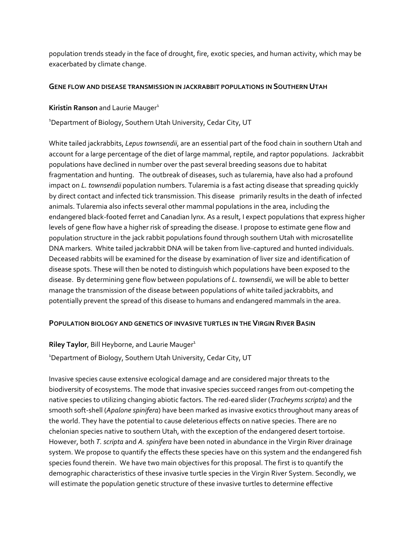population trends steady in the face of drought, fire, exotic species, and human activity, which may be exacerbated by climate change.

## **GENE FLOW AND DISEASE TRANSMISSION IN JACKRABBIT POPULATIONS IN SOUTHERN UTAH**

**Kiristin Ranson** and Laurie Mauger<sup>1</sup>

1 Department of Biology, Southern Utah University, Cedar City, UT

White tailed jackrabbits, *Lepus townsendii*, are an essential part of the food chain in southern Utah and account for a large percentage of the diet of large mammal, reptile, and raptor populations. Jackrabbit populations have declined in number over the past several breeding seasons due to habitat fragmentation and hunting. The outbreak of diseases, such as tularemia, have also had a profound impact on *L. townsendii* population numbers. Tularemia is a fast acting disease that spreading quickly by direct contact and infected tick transmission. This disease primarily results in the death of infected animals. Tularemia also infects several other mammal populations in the area, including the endangered black‐footed ferret and Canadian lynx. As a result, I expect populations that express higher levels of gene flow have a higher risk of spreading the disease. I propose to estimate gene flow and population structure in the jack rabbit populations found through southern Utah with microsatellite DNA markers. White tailed jackrabbit DNA will be taken from live-captured and hunted individuals. Deceased rabbits will be examined for the disease by examination of liver size and identification of disease spots. These will then be noted to distinguish which populations have been exposed to the disease. By determining gene flow between populations of *L. townsendii*, we will be able to better manage the transmission of the disease between populations of white tailed jackrabbits, and potentially prevent the spread of this disease to humans and endangered mammals in the area.

## **POPULATION BIOLOGY AND GENETICS OF INVASIVE TURTLES IN THE VIRGIN RIVER BASIN**

**Riley Taylor, Bill Heyborne, and Laurie Mauger<sup>1</sup>** 

<sup>1</sup>Department of Biology, Southern Utah University, Cedar City, UT

Invasive species cause extensive ecological damage and are considered major threats to the biodiversity of ecosystems. The mode that invasive species succeed ranges from out‐competing the native species to utilizing changing abiotic factors. The red‐eared slider (*Tracheyms scripta*) and the smooth soft‐shell (*Apalone spinifera*) have been marked as invasive exotics throughout many areas of the world. They have the potential to cause deleterious effects on native species. There are no chelonian species native to southern Utah, with the exception of the endangered desert tortoise. However, both *T.scripta* and *A. spinifera* have been noted in abundance in the Virgin River drainage system. We propose to quantify the effects these species have on this system and the endangered fish species found therein. We have two main objectives for this proposal. The first is to quantify the demographic characteristics of these invasive turtle species in the Virgin River System. Secondly, we will estimate the population genetic structure of these invasive turtles to determine effective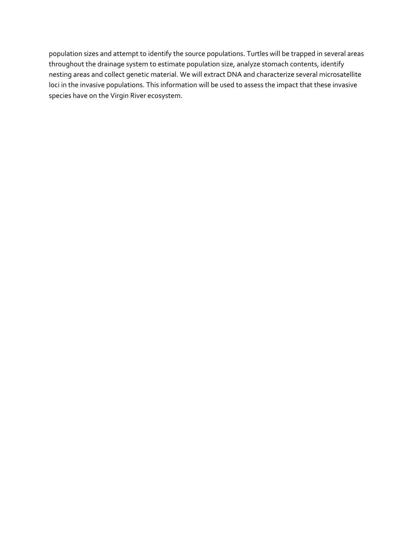population sizes and attempt to identify the source populations. Turtles will be trapped in several areas throughout the drainage system to estimate population size, analyze stomach contents, identify nesting areas and collect genetic material. We will extract DNA and characterize several microsatellite loci in the invasive populations. This information will be used to assess the impact that these invasive species have on the Virgin River ecosystem.